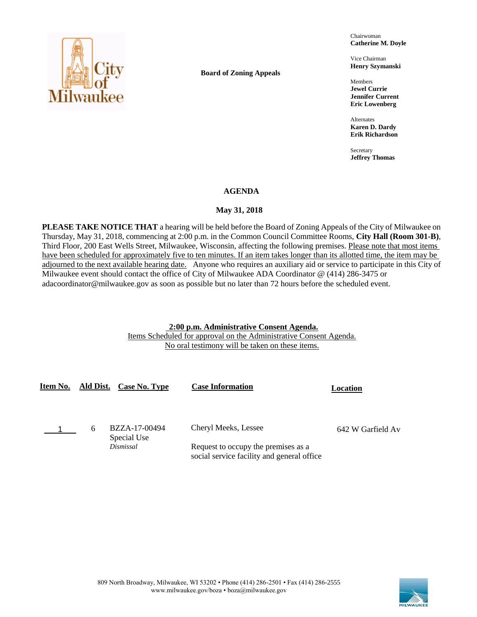

**Board of Zoning Appeals**

Chairwoman **Catherine M. Doyle**

Vice Chairman **Henry Szymanski**

Members **Jewel Currie Jennifer Current Eric Lowenberg**

Alternates **Karen D. Dardy Erik Richardson**

Secretary **Jeffrey Thomas**

#### **AGENDA**

#### May 31, 2018

**PLEASE TAKE NOTICE THAT** a hearing will be held before the Board of Zoning Appeals of the City of Milwaukee on Thursday, May 31, 2018, commencing at 2:00 p.m. in the Common Council Committee Rooms, **City Hall (Room 301-B)**, Third Floor, 200 East Wells Street, Milwaukee, Wisconsin, affecting the following premises. Please note that most items have been scheduled for approximately five to ten minutes. If an item takes longer than its allotted time, the item may be adjourned to the next available hearing date. Anyone who requires an auxiliary aid or service to participate in this City of Milwaukee event should contact the office of City of Milwaukee ADA Coordinator @ (414) 286-3475 or adacoordinator@milwaukee.gov as soon as possible but no later than 72 hours before the scheduled event.

# **2:00 p.m. Administrative Consent Agenda.**

Items Scheduled for approval on the Administrative Consent Agenda. No oral testimony will be taken on these items.

| Item No. | Ald Dist. | Case No. Type                | <b>Case Information</b>                                                           | Location          |
|----------|-----------|------------------------------|-----------------------------------------------------------------------------------|-------------------|
|          | 6         | BZZA-17-00494<br>Special Use | Cheryl Meeks, Lessee                                                              | 642 W Garfield Av |
|          |           | Dismissal                    | Request to occupy the premises as a<br>social service facility and general office |                   |

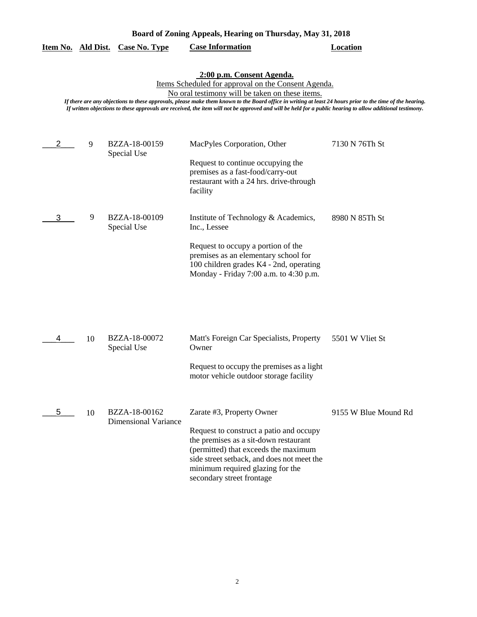| 9 | BZZA-18-00159 | MacPyles Corporation, Other             | 7130 N 76Th St |
|---|---------------|-----------------------------------------|----------------|
|   | Special Use   |                                         |                |
|   |               | Request to continue occupying the       |                |
|   |               | premises as a fast-food/carry-out       |                |
|   |               | restaurant with a 24 hrs. drive-through |                |
|   |               | facility                                |                |
| 9 | BZZA-18-00109 | Institute of Technology & Academics,    | 8980 N 85Th St |
|   | Special Use   | Inc., Lessee                            |                |
|   |               | Request to occupy a portion of the      |                |
|   |               | premises as an elementary school for    |                |
|   |               | 100 children grades K4 - 2nd, operating |                |
|   |               | Monday - Friday 7:00 a.m. to 4:30 p.m.  |                |

## **Item No. Ald Dist. Case No. Type Case Information Location**

### **2:00 p.m. Consent Agenda.**

*If there are any objections to these approvals, please make them known to the Board office in writing at least 24 hours prior to the time of the hearing. If written objections to these approvals are received, the item will not be approved and will be held for a public hearing to allow additional testimony.*

|    | 10 | BZZA-18-00072<br>Special Use          | Matt's Foreign Car Specialists, Property<br>Owner                                                                                                                                                                                                                    | 5501 W Vliet St      |
|----|----|---------------------------------------|----------------------------------------------------------------------------------------------------------------------------------------------------------------------------------------------------------------------------------------------------------------------|----------------------|
|    |    |                                       | Request to occupy the premises as a light<br>motor vehicle outdoor storage facility                                                                                                                                                                                  |                      |
| 5. | 10 | BZZA-18-00162<br>Dimensional Variance | Zarate #3, Property Owner<br>Request to construct a patio and occupy<br>the premises as a sit-down restaurant<br>(permitted) that exceeds the maximum<br>side street setback, and does not meet the<br>minimum required glazing for the<br>secondary street frontage | 9155 W Blue Mound Rd |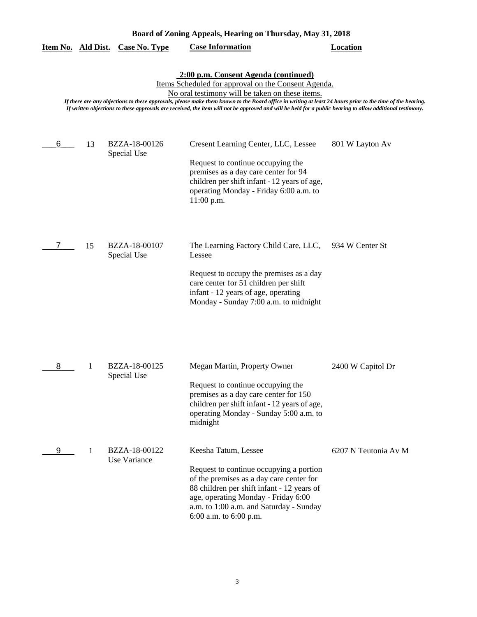|   |    | <u>Item No. Ald Dist. Case No. Type</u> | <b>Case Information</b>                                                                                                                                                                                                                                                                                                                                                                                                                                                  | <b>Location</b>      |
|---|----|-----------------------------------------|--------------------------------------------------------------------------------------------------------------------------------------------------------------------------------------------------------------------------------------------------------------------------------------------------------------------------------------------------------------------------------------------------------------------------------------------------------------------------|----------------------|
|   |    |                                         | 2:00 p.m. Consent Agenda (continued)<br>Items Scheduled for approval on the Consent Agenda.<br>No oral testimony will be taken on these items.<br>If there are any objections to these approvals, please make them known to the Board office in writing at least 24 hours prior to the time of the hearing.<br>If written objections to these approvals are received, the item will not be approved and will be held for a public hearing to allow additional testimony. |                      |
| 6 | 13 | BZZA-18-00126<br>Special Use            | Cresent Learning Center, LLC, Lessee<br>Request to continue occupying the<br>premises as a day care center for 94<br>children per shift infant - 12 years of age,<br>operating Monday - Friday 6:00 a.m. to<br>$11:00$ p.m.                                                                                                                                                                                                                                              | 801 W Layton Av      |
| 7 | 15 | BZZA-18-00107<br>Special Use            | The Learning Factory Child Care, LLC,<br>Lessee<br>Request to occupy the premises as a day<br>care center for 51 children per shift<br>infant - 12 years of age, operating<br>Monday - Sunday 7:00 a.m. to midnight                                                                                                                                                                                                                                                      | 934 W Center St      |
| 8 | 1  | BZZA-18-00125<br>Special Use            | Megan Martin, Property Owner<br>Request to continue occupying the<br>premises as a day care center for 150<br>children per shift infant - 12 years of age,<br>operating Monday - Sunday 5:00 a.m. to<br>midnight                                                                                                                                                                                                                                                         | 2400 W Capitol Dr    |
| 9 | 1  | BZZA-18-00122<br>Use Variance           | Keesha Tatum, Lessee<br>Request to continue occupying a portion<br>of the premises as a day care center for<br>88 children per shift infant - 12 years of<br>age, operating Monday - Friday 6:00<br>a.m. to 1:00 a.m. and Saturday - Sunday<br>6:00 a.m. to 6:00 p.m.                                                                                                                                                                                                    | 6207 N Teutonia Av M |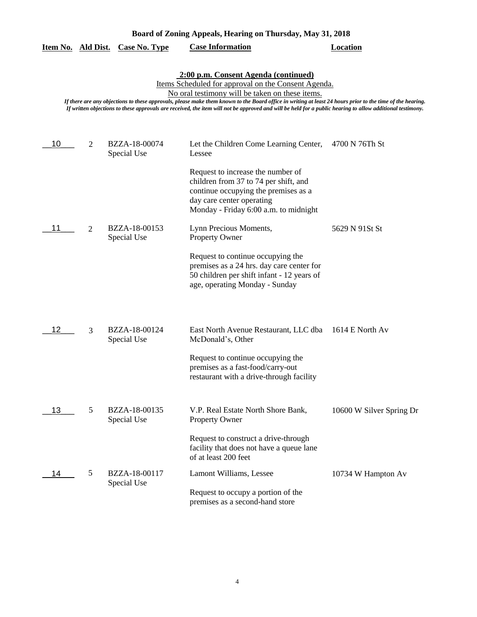|     |   | Item No. Ald Dist. Case No. Type | <b>Case Information</b>                                                                                                                                                                                                                                                                                                                                                                                                                                                  | <b>Location</b>          |
|-----|---|----------------------------------|--------------------------------------------------------------------------------------------------------------------------------------------------------------------------------------------------------------------------------------------------------------------------------------------------------------------------------------------------------------------------------------------------------------------------------------------------------------------------|--------------------------|
|     |   |                                  | 2:00 p.m. Consent Agenda (continued)<br>Items Scheduled for approval on the Consent Agenda.<br>No oral testimony will be taken on these items.<br>If there are any objections to these approvals, please make them known to the Board office in writing at least 24 hours prior to the time of the hearing.<br>If written objections to these approvals are received, the item will not be approved and will be held for a public hearing to allow additional testimony. |                          |
| 10  | 2 | BZZA-18-00074<br>Special Use     | Let the Children Come Learning Center,<br>Lessee                                                                                                                                                                                                                                                                                                                                                                                                                         | 4700 N 76Th St           |
|     |   |                                  | Request to increase the number of<br>children from 37 to 74 per shift, and<br>continue occupying the premises as a<br>day care center operating<br>Monday - Friday 6:00 a.m. to midnight                                                                                                                                                                                                                                                                                 |                          |
| 11  | 2 | BZZA-18-00153<br>Special Use     | Lynn Precious Moments,<br><b>Property Owner</b>                                                                                                                                                                                                                                                                                                                                                                                                                          | 5629 N 91St St           |
|     |   |                                  | Request to continue occupying the<br>premises as a 24 hrs. day care center for<br>50 children per shift infant - 12 years of<br>age, operating Monday - Sunday                                                                                                                                                                                                                                                                                                           |                          |
| 12  | 3 | BZZA-18-00124<br>Special Use     | East North Avenue Restaurant, LLC dba<br>McDonald's, Other                                                                                                                                                                                                                                                                                                                                                                                                               | 1614 E North Av          |
|     |   |                                  | Request to continue occupying the<br>premises as a fast-food/carry-out<br>restaurant with a drive-through facility                                                                                                                                                                                                                                                                                                                                                       |                          |
| 13. | 5 | BZZA-18-00135<br>Special Use     | V.P. Real Estate North Shore Bank,<br>Property Owner                                                                                                                                                                                                                                                                                                                                                                                                                     | 10600 W Silver Spring Dr |
|     |   |                                  | Request to construct a drive-through<br>facility that does not have a queue lane<br>of at least 200 feet                                                                                                                                                                                                                                                                                                                                                                 |                          |
| 14  | 5 | BZZA-18-00117<br>Special Use     | Lamont Williams, Lessee                                                                                                                                                                                                                                                                                                                                                                                                                                                  | 10734 W Hampton Av       |
|     |   |                                  | Request to occupy a portion of the<br>premises as a second-hand store                                                                                                                                                                                                                                                                                                                                                                                                    |                          |

## **Board of Zoning Appeals, Hearing on Thursday, May 31, 2018**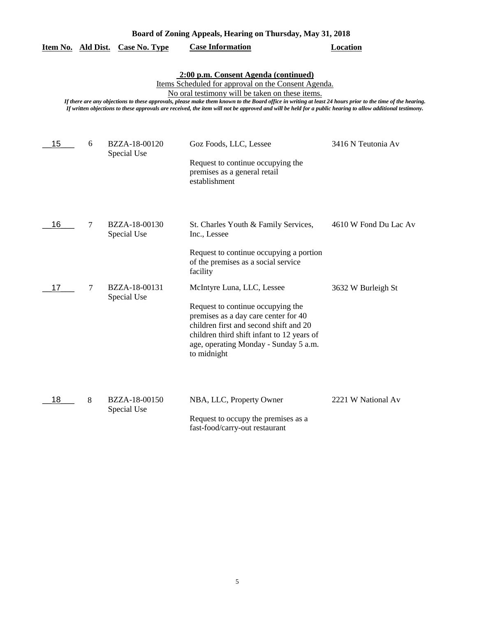| Board of Zoning Appeals, Hearing on Thursday, May 31, 2018 |  |  |
|------------------------------------------------------------|--|--|
|                                                            |  |  |

|  |  | Item No. Ald Dist. Case No. Type | <b>Case Information</b> | Location |
|--|--|----------------------------------|-------------------------|----------|
|--|--|----------------------------------|-------------------------|----------|

## **2:00 p.m. Consent Agenda (continued)**

Items Scheduled for approval on the Consent Agenda.

No oral testimony will be taken on these items.

*If there are any objections to these approvals, please make them known to the Board office in writing at least 24 hours prior to the time of the hearing. If written objections to these approvals are received, the item will not be approved and will be held for a public hearing to allow additional testimony.*

| 15 | 6 | BZZA-18-00120<br>Special Use | Goz Foods, LLC, Lessee<br>Request to continue occupying the<br>premises as a general retail<br>establishment                                                                                                                                            | 3416 N Teutonia Av    |
|----|---|------------------------------|---------------------------------------------------------------------------------------------------------------------------------------------------------------------------------------------------------------------------------------------------------|-----------------------|
| 16 | 7 | BZZA-18-00130<br>Special Use | St. Charles Youth & Family Services,<br>Inc., Lessee                                                                                                                                                                                                    | 4610 W Fond Du Lac Av |
|    |   |                              | Request to continue occupying a portion<br>of the premises as a social service<br>facility                                                                                                                                                              |                       |
| 17 | 7 | BZZA-18-00131<br>Special Use | McIntyre Luna, LLC, Lessee<br>Request to continue occupying the<br>premises as a day care center for 40<br>children first and second shift and 20<br>children third shift infant to 12 years of<br>age, operating Monday - Sunday 5 a.m.<br>to midnight | 3632 W Burleigh St    |
| 18 | 8 | BZZA-18-00150<br>Special Use | NBA, LLC, Property Owner<br>Request to occupy the premises as a<br>fast-food/carry-out restaurant                                                                                                                                                       | 2221 W National Av    |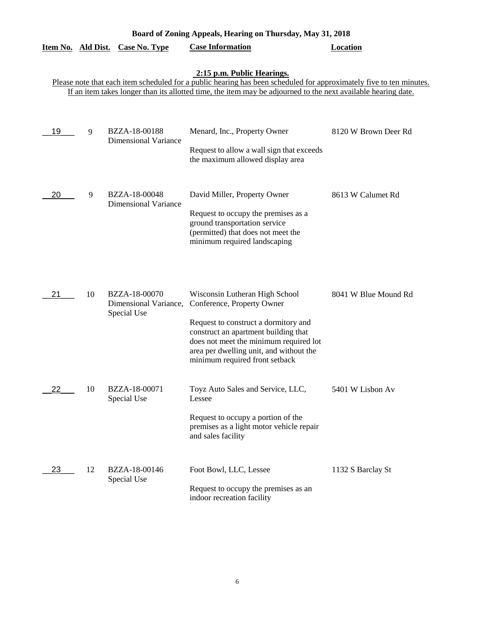|                           | Board of Zoning Appeals, Hearing on Thursday, May 31, 2018 |                                                       |                                                                                                                                                                                                                                                                     |                      |  |  |
|---------------------------|------------------------------------------------------------|-------------------------------------------------------|---------------------------------------------------------------------------------------------------------------------------------------------------------------------------------------------------------------------------------------------------------------------|----------------------|--|--|
| <u>Item No. Ald Dist.</u> |                                                            | <b>Case No. Type</b>                                  | <b>Case Information</b>                                                                                                                                                                                                                                             | <b>Location</b>      |  |  |
|                           |                                                            |                                                       | 2:15 p.m. Public Hearings.<br>Please note that each item scheduled for a public hearing has been scheduled for approximately five to ten minutes.<br>If an item takes longer than its allotted time, the item may be adjourned to the next available hearing date.  |                      |  |  |
| 19                        | 9                                                          | BZZA-18-00188<br><b>Dimensional Variance</b>          | Menard, Inc., Property Owner<br>Request to allow a wall sign that exceeds<br>the maximum allowed display area                                                                                                                                                       | 8120 W Brown Deer Rd |  |  |
| 20                        | 9                                                          | BZZA-18-00048<br><b>Dimensional Variance</b>          | David Miller, Property Owner<br>Request to occupy the premises as a<br>ground transportation service<br>(permitted) that does not meet the<br>minimum required landscaping                                                                                          | 8613 W Calumet Rd    |  |  |
| 21                        | 10                                                         | BZZA-18-00070<br>Dimensional Variance,<br>Special Use | Wisconsin Lutheran High School<br>Conference, Property Owner<br>Request to construct a dormitory and<br>construct an apartment building that<br>does not meet the minimum required lot<br>area per dwelling unit, and without the<br>minimum required front setback | 8041 W Blue Mound Rd |  |  |
| 22                        | 10                                                         | BZZA-18-00071<br>Special Use                          | Toyz Auto Sales and Service, LLC,<br>Lessee<br>Request to occupy a portion of the<br>premises as a light motor vehicle repair<br>and sales facility                                                                                                                 | 5401 W Lisbon Av     |  |  |
| 23                        | 12                                                         | BZZA-18-00146<br>Special Use                          | Foot Bowl, LLC, Lessee<br>Request to occupy the premises as an<br>indoor recreation facility                                                                                                                                                                        | 1132 S Barclay St    |  |  |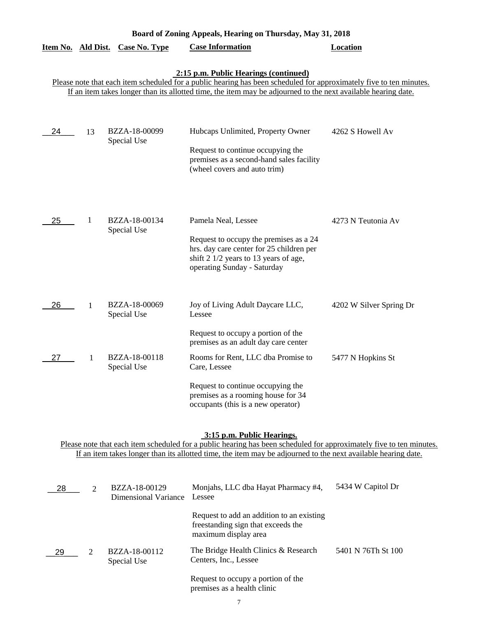| Board of Zoning Appeals, Hearing on Thursday, May 31, 2018 |              |                                  |                                                                                                                                                                                                                                                                               |                         |
|------------------------------------------------------------|--------------|----------------------------------|-------------------------------------------------------------------------------------------------------------------------------------------------------------------------------------------------------------------------------------------------------------------------------|-------------------------|
|                                                            |              | Item No. Ald Dist. Case No. Type | <b>Case Information</b>                                                                                                                                                                                                                                                       | <b>Location</b>         |
|                                                            |              |                                  | 2:15 p.m. Public Hearings (continued)<br>Please note that each item scheduled for a public hearing has been scheduled for approximately five to ten minutes.<br>If an item takes longer than its allotted time, the item may be adjourned to the next available hearing date. |                         |
| 24                                                         | 13           | BZZA-18-00099<br>Special Use     | Hubcaps Unlimited, Property Owner<br>Request to continue occupying the<br>premises as a second-hand sales facility<br>(wheel covers and auto trim)                                                                                                                            | 4262 S Howell Av        |
| 25                                                         | 1            | BZZA-18-00134<br>Special Use     | Pamela Neal, Lessee<br>Request to occupy the premises as a 24<br>hrs. day care center for 25 children per<br>shift 2 1/2 years to 13 years of age,<br>operating Sunday - Saturday                                                                                             | 4273 N Teutonia Av      |
| 26                                                         | $\mathbf{1}$ | BZZA-18-00069<br>Special Use     | Joy of Living Adult Daycare LLC,<br>Lessee                                                                                                                                                                                                                                    | 4202 W Silver Spring Dr |
|                                                            |              |                                  | Request to occupy a portion of the<br>premises as an adult day care center                                                                                                                                                                                                    |                         |
| 27                                                         | 1            | BZZA-18-00118<br>Special Use     | Rooms for Rent, LLC dba Promise to<br>Care, Lessee<br>Request to continue occupying the<br>premises as a rooming house for 34<br>occupants (this is a new operator)                                                                                                           | 5477 N Hopkins St       |

#### **3:15 p.m. Public Hearings.**

Please note that each item scheduled for a public hearing has been scheduled for approximately five to ten minutes. If an item takes longer than its allotted time, the item may be adjourned to the next available hearing date.

| 28 | $\mathcal{D}_{\cdot}$ | BZZA-18-00129<br>Dimensional Variance | Monjahs, LLC dba Hayat Pharmacy #4,<br>Lessee                                                           | 5434 W Capitol Dr  |
|----|-----------------------|---------------------------------------|---------------------------------------------------------------------------------------------------------|--------------------|
|    |                       |                                       | Request to add an addition to an existing<br>freestanding sign that exceeds the<br>maximum display area |                    |
| 29 | 2                     | BZZA-18-00112<br>Special Use          | The Bridge Health Clinics & Research<br>Centers, Inc., Lessee                                           | 5401 N 76Th St 100 |
|    |                       |                                       | Request to occupy a portion of the<br>premises as a health clinic                                       |                    |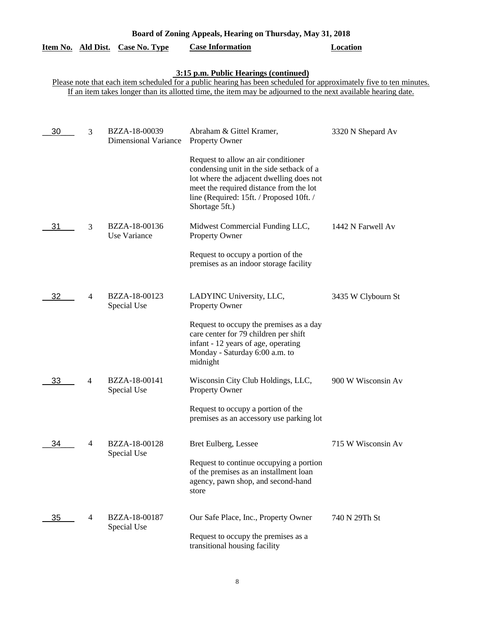| Board of Zoning Appeals, Hearing on Thursday, May 31, 2018 |  |
|------------------------------------------------------------|--|
|                                                            |  |

|  |  | Item No. Ald Dist. Case No. Type | <b>Case Information</b> | Location |
|--|--|----------------------------------|-------------------------|----------|
|--|--|----------------------------------|-------------------------|----------|

#### **3:15 p.m. Public Hearings (continued)**

Please note that each item scheduled for a public hearing has been scheduled for approximately five to ten minutes. If an item takes longer than its allotted time, the item may be adjourned to the next available hearing date.

| 30 | 3              | BZZA-18-00039<br><b>Dimensional Variance</b> | Abraham & Gittel Kramer,<br><b>Property Owner</b>                                                                                                                                                                                    | 3320 N Shepard Av  |
|----|----------------|----------------------------------------------|--------------------------------------------------------------------------------------------------------------------------------------------------------------------------------------------------------------------------------------|--------------------|
|    |                |                                              | Request to allow an air conditioner<br>condensing unit in the side setback of a<br>lot where the adjacent dwelling does not<br>meet the required distance from the lot<br>line (Required: 15ft. / Proposed 10ft. /<br>Shortage 5ft.) |                    |
| 31 | 3              | BZZA-18-00136<br>Use Variance                | Midwest Commercial Funding LLC,<br><b>Property Owner</b>                                                                                                                                                                             | 1442 N Farwell Av  |
|    |                |                                              | Request to occupy a portion of the<br>premises as an indoor storage facility                                                                                                                                                         |                    |
| 32 | $\overline{4}$ | BZZA-18-00123<br>Special Use                 | LADYINC University, LLC,<br><b>Property Owner</b>                                                                                                                                                                                    | 3435 W Clybourn St |
|    |                |                                              | Request to occupy the premises as a day<br>care center for 79 children per shift<br>infant - 12 years of age, operating<br>Monday - Saturday 6:00 a.m. to<br>midnight                                                                |                    |
| 33 | 4              | BZZA-18-00141<br>Special Use                 | Wisconsin City Club Holdings, LLC,<br><b>Property Owner</b>                                                                                                                                                                          | 900 W Wisconsin Av |
|    |                |                                              | Request to occupy a portion of the<br>premises as an accessory use parking lot                                                                                                                                                       |                    |
| 34 | 4              | BZZA-18-00128<br>Special Use                 | Bret Eulberg, Lessee                                                                                                                                                                                                                 | 715 W Wisconsin Av |
|    |                |                                              | Request to continue occupying a portion<br>of the premises as an installment loan<br>agency, pawn shop, and second-hand<br>store                                                                                                     |                    |
| 35 | 4              | BZZA-18-00187<br>Special Use                 | Our Safe Place, Inc., Property Owner<br>Request to occupy the premises as a<br>transitional housing facility                                                                                                                         | 740 N 29Th St      |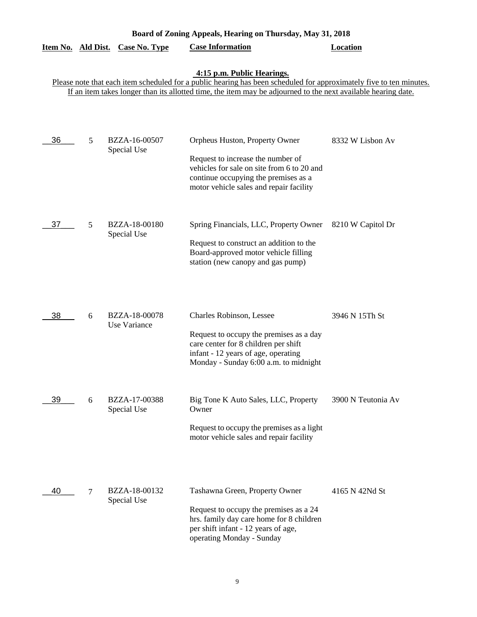| Board of Zoning Appeals, Hearing on Thursday, May 31, 2018                                                                                                                                                                                                         |                |                               |                                                                                                                                                                                                      |                    |  |
|--------------------------------------------------------------------------------------------------------------------------------------------------------------------------------------------------------------------------------------------------------------------|----------------|-------------------------------|------------------------------------------------------------------------------------------------------------------------------------------------------------------------------------------------------|--------------------|--|
| Item No. Ald Dist.                                                                                                                                                                                                                                                 |                | <b>Case No. Type</b>          | <b>Case Information</b>                                                                                                                                                                              | <b>Location</b>    |  |
| 4:15 p.m. Public Hearings.<br>Please note that each item scheduled for a public hearing has been scheduled for approximately five to ten minutes.<br>If an item takes longer than its allotted time, the item may be adjourned to the next available hearing date. |                |                               |                                                                                                                                                                                                      |                    |  |
| 36                                                                                                                                                                                                                                                                 | 5              | BZZA-16-00507<br>Special Use  | Orpheus Huston, Property Owner<br>Request to increase the number of<br>vehicles for sale on site from 6 to 20 and<br>continue occupying the premises as a<br>motor vehicle sales and repair facility | 8332 W Lisbon Av   |  |
| 37                                                                                                                                                                                                                                                                 | 5              | BZZA-18-00180<br>Special Use  | Spring Financials, LLC, Property Owner<br>Request to construct an addition to the<br>Board-approved motor vehicle filling<br>station (new canopy and gas pump)                                       | 8210 W Capitol Dr  |  |
| 38                                                                                                                                                                                                                                                                 | 6              | BZZA-18-00078<br>Use Variance | Charles Robinson, Lessee<br>Request to occupy the premises as a day<br>care center for 8 children per shift<br>infant - 12 years of age, operating<br>Monday - Sunday 6:00 a.m. to midnight          | 3946 N 15Th St     |  |
| 39                                                                                                                                                                                                                                                                 | 6              | BZZA-17-00388<br>Special Use  | Big Tone K Auto Sales, LLC, Property<br>Owner<br>Request to occupy the premises as a light<br>motor vehicle sales and repair facility                                                                | 3900 N Teutonia Av |  |
| 40                                                                                                                                                                                                                                                                 | $\overline{7}$ | BZZA-18-00132<br>Special Use  | Tashawna Green, Property Owner<br>Request to occupy the premises as a 24<br>hrs. family day care home for 8 children<br>per shift infant - 12 years of age,<br>operating Monday - Sunday             | 4165 N 42Nd St     |  |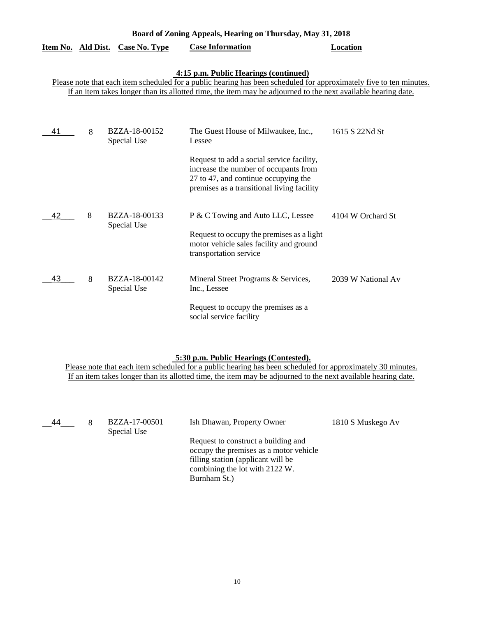| Board of Zoning Appeals, Hearing on Thursday, May 31, 2018                                                                                                   |   |                              |                                                                                                                                                                          |                    |  |
|--------------------------------------------------------------------------------------------------------------------------------------------------------------|---|------------------------------|--------------------------------------------------------------------------------------------------------------------------------------------------------------------------|--------------------|--|
| Item No. Ald Dist.                                                                                                                                           |   | <b>Case No. Type</b>         | <b>Case Information</b>                                                                                                                                                  | Location           |  |
| 4:15 p.m. Public Hearings (continued)<br>Please note that each item scheduled for a public hearing has been scheduled for approximately five to ten minutes. |   |                              |                                                                                                                                                                          |                    |  |
| If an item takes longer than its allotted time, the item may be adjourned to the next available hearing date.                                                |   |                              |                                                                                                                                                                          |                    |  |
| 41                                                                                                                                                           | 8 | BZZA-18-00152<br>Special Use | The Guest House of Milwaukee, Inc.,<br>Lessee                                                                                                                            | 1615 S 22Nd St     |  |
|                                                                                                                                                              |   |                              | Request to add a social service facility,<br>increase the number of occupants from<br>27 to 47, and continue occupying the<br>premises as a transitional living facility |                    |  |
| 42                                                                                                                                                           | 8 | BZZA-18-00133<br>Special Use | P & C Towing and Auto LLC, Lessee<br>Request to occupy the premises as a light<br>motor vehicle sales facility and ground<br>transportation service                      | 4104 W Orchard St  |  |
| 43                                                                                                                                                           | 8 | BZZA-18-00142<br>Special Use | Mineral Street Programs & Services,<br>Inc., Lessee                                                                                                                      | 2039 W National Av |  |
|                                                                                                                                                              |   |                              | Request to occupy the premises as a<br>social service facility                                                                                                           |                    |  |

#### **5:30 p.m. Public Hearings (Contested).**

Please note that each item scheduled for a public hearing has been scheduled for approximately 30 minutes. If an item takes longer than its allotted time, the item may be adjourned to the next available hearing date.

| 44 | BZZA-17-00501<br>Special Use | Ish Dhawan, Property Owner                                                                                                                                            | 1810 S Muskego Av |
|----|------------------------------|-----------------------------------------------------------------------------------------------------------------------------------------------------------------------|-------------------|
|    |                              | Request to construct a building and<br>occupy the premises as a motor vehicle<br>filling station (applicant will be<br>combining the lot with 2122 W.<br>Burnham St.) |                   |